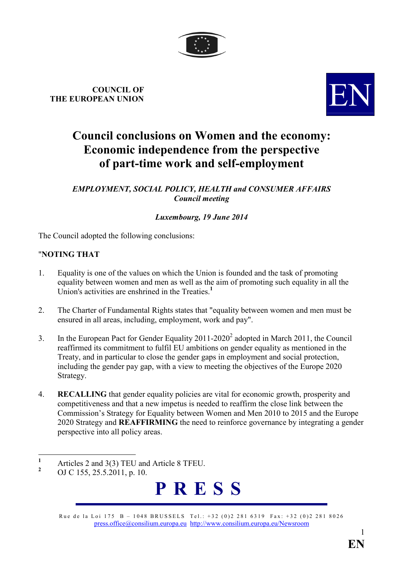

# **COUNCIL OF THE EUROPEAN UNION**



## **Council conclusions on Women and the economy: Economic independence from the perspective of part-time work and self-employment**

**EMPLOYMENT, SOCIAL POLICY, HEALTH and CONSUMER AFFAIRS** *Council meeting* 

## *Luxembourg, 19 June 2014*

The Council adopted the following conclusions:

## **"NOTING THAT**

- 1. Equality is one of the values on which the Union is founded and the task of promoting equality between women and men as well as the aim of promoting such equality in all the Union's activities are enshrined in the Treaties.**<sup>1</sup>**
- 2. The Charter of Fundamental Rights states that "equality between women and men must be ensured in all areas, including, employment, work and pay".
- 3. In the European Pact for Gender Equality  $2011-2020^2$  adopted in March 2011, the Council reaffirmed its commitment to fulfil EU ambitions on gender equality as mentioned in the Treaty, and in particular to close the gender gaps in employment and social protection, including the gender pay gap, with a view to meeting the objectives of the Europe 2020 Strategy.
- 4. **RECALLIG** that gender equality policies are vital for economic growth, prosperity and competitiveness and that a new impetus is needed to reaffirm the close link between the Commission's Strategy for Equality between Women and Men 2010 to 2015 and the Europe 2020 Strategy and **REAFFIRMIG** the need to reinforce governance by integrating a gender perspective into all policy areas.

**<sup>2</sup>** OJ C 155, 25.5.2011, p. 10.



Rue de la Loi 175 B – 1048 BRUSSELS Tel.: +32 (0)2 281 6319 Fax: +32 (0)2 281 8026 [press.office@consilium.europa.eu](mailto:press.office@consilium.eu.int) [http://www.consilium.europa.eu/Newsroom](http://ue.eu.int/Newsroom)

 **1** Articles 2 and 3(3) TEU and Article 8 TFEU.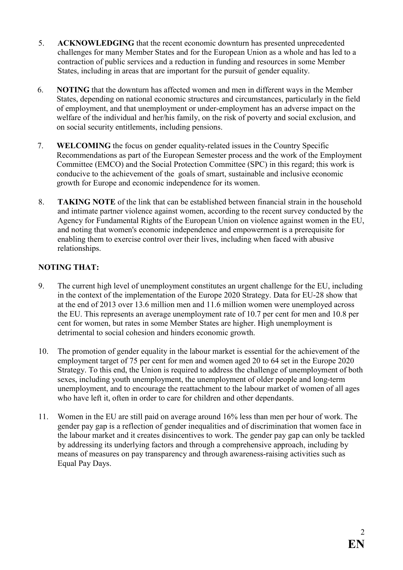- 5. **ACKOWLEDGIG** that the recent economic downturn has presented unprecedented challenges for many Member States and for the European Union as a whole and has led to a contraction of public services and a reduction in funding and resources in some Member States, including in areas that are important for the pursuit of gender equality.
- 6. **OTIG** that the downturn has affected women and men in different ways in the Member States, depending on national economic structures and circumstances, particularly in the field of employment, and that unemployment or under-employment has an adverse impact on the welfare of the individual and her/his family, on the risk of poverty and social exclusion, and on social security entitlements, including pensions.
- 7. **WELCOMIG** the focus on gender equality-related issues in the Country Specific Recommendations as part of the European Semester process and the work of the Employment Committee (EMCO) and the Social Protection Committee (SPC) in this regard; this work is conducive to the achievement of the goals of smart, sustainable and inclusive economic growth for Europe and economic independence for its women.
- 8. **TAKIG OTE** of the link that can be established between financial strain in the household and intimate partner violence against women, according to the recent survey conducted by the Agency for Fundamental Rights of the European Union on violence against women in the EU, and noting that women's economic independence and empowerment is a prerequisite for enabling them to exercise control over their lives, including when faced with abusive relationships.

## **NOTING THAT:**

- 9. The current high level of unemployment constitutes an urgent challenge for the EU, including in the context of the implementation of the Europe 2020 Strategy. Data for EU-28 show that at the end of 2013 over 13.6 million men and 11.6 million women were unemployed across the EU. This represents an average unemployment rate of 10.7 per cent for men and 10.8 per cent for women, but rates in some Member States are higher. High unemployment is detrimental to social cohesion and hinders economic growth.
- 10. The promotion of gender equality in the labour market is essential for the achievement of the employment target of 75 per cent for men and women aged 20 to 64 set in the Europe 2020 Strategy. To this end, the Union is required to address the challenge of unemployment of both sexes, including youth unemployment, the unemployment of older people and long-term unemployment, and to encourage the reattachment to the labour market of women of all ages who have left it, often in order to care for children and other dependants.
- 11. Women in the EU are still paid on average around 16% less than men per hour of work. The gender pay gap is a reflection of gender inequalities and of discrimination that women face in the labour market and it creates disincentives to work. The gender pay gap can only be tackled by addressing its underlying factors and through a comprehensive approach, including by means of measures on pay transparency and through awareness-raising activities such as Equal Pay Days.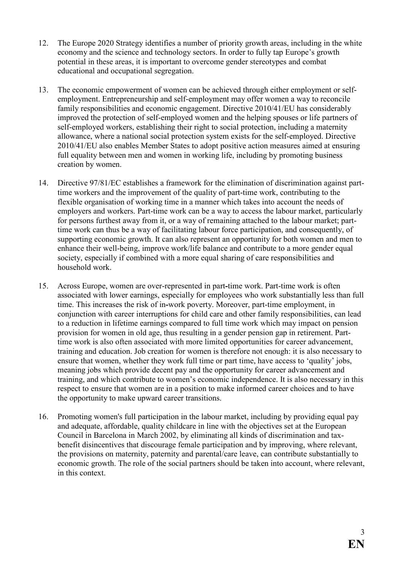- 12. The Europe 2020 Strategy identifies a number of priority growth areas, including in the white economy and the science and technology sectors. In order to fully tap Europe's growth potential in these areas, it is important to overcome gender stereotypes and combat educational and occupational segregation.
- 13. The economic empowerment of women can be achieved through either employment or selfemployment. Entrepreneurship and self-employment may offer women a way to reconcile family responsibilities and economic engagement. Directive 2010/41/EU has considerably improved the protection of self-employed women and the helping spouses or life partners of self-employed workers, establishing their right to social protection, including a maternity allowance, where a national social protection system exists for the self-employed. Directive 2010/41/EU also enables Member States to adopt positive action measures aimed at ensuring full equality between men and women in working life, including by promoting business creation by women.
- 14. Directive 97/81/EC establishes a framework for the elimination of discrimination against parttime workers and the improvement of the quality of part-time work, contributing to the flexible organisation of working time in a manner which takes into account the needs of employers and workers. Part-time work can be a way to access the labour market, particularly for persons furthest away from it, or a way of remaining attached to the labour market; parttime work can thus be a way of facilitating labour force participation, and consequently, of supporting economic growth. It can also represent an opportunity for both women and men to enhance their well-being, improve work/life balance and contribute to a more gender equal society, especially if combined with a more equal sharing of care responsibilities and household work.
- 15. Across Europe, women are over-represented in part**-**time work. Part-time work is often associated with lower earnings, especially for employees who work substantially less than full time. This increases the risk of in**-**work poverty. Moreover, part-time employment, in conjunction with career interruptions for child care and other family responsibilities, can lead to a reduction in lifetime earnings compared to full time work which may impact on pension provision for women in old age, thus resulting in a gender pension gap in retirement. Parttime work is also often associated with more limited opportunities for career advancement, training and education. Job creation for women is therefore not enough: it is also necessary to ensure that women, whether they work full time or part time, have access to 'quality' jobs, meaning jobs which provide decent pay and the opportunity for career advancement and training, and which contribute to women's economic independence. It is also necessary in this respect to ensure that women are in a position to make informed career choices and to have the opportunity to make upward career transitions.
- 16. Promoting women's full participation in the labour market, including by providing equal pay and adequate, affordable, quality childcare in line with the objectives set at the European Council in Barcelona in March 2002, by eliminating all kinds of discrimination and taxbenefit disincentives that discourage female participation and by improving, where relevant, the provisions on maternity, paternity and parental/care leave, can contribute substantially to economic growth. The role of the social partners should be taken into account, where relevant, in this context.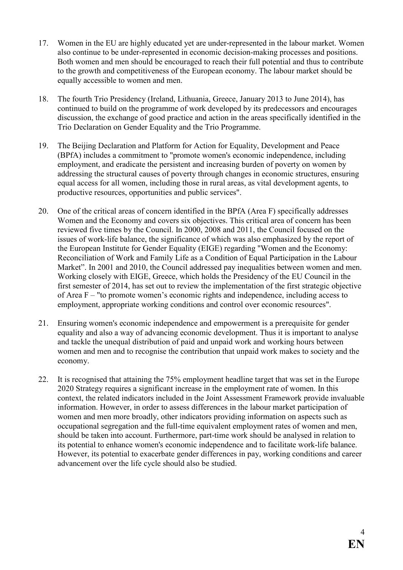- 17. Women in the EU are highly educated yet are under-represented in the labour market. Women also continue to be under-represented in economic decision-making processes and positions. Both women and men should be encouraged to reach their full potential and thus to contribute to the growth and competitiveness of the European economy. The labour market should be equally accessible to women and men.
- 18. The fourth Trio Presidency (Ireland, Lithuania, Greece, January 2013 to June 2014), has continued to build on the programme of work developed by its predecessors and encourages discussion, the exchange of good practice and action in the areas specifically identified in the Trio Declaration on Gender Equality and the Trio Programme.
- 19. The Beijing Declaration and Platform for Action for Equality, Development and Peace (BPfA) includes a commitment to "promote women's economic independence, including employment, and eradicate the persistent and increasing burden of poverty on women by addressing the structural causes of poverty through changes in economic structures, ensuring equal access for all women, including those in rural areas, as vital development agents, to productive resources, opportunities and public services".
- 20. One of the critical areas of concern identified in the BPfA (Area F) specifically addresses Women and the Economy and covers six objectives. This critical area of concern has been reviewed five times by the Council. In 2000, 2008 and 2011, the Council focused on the issues of work-life balance, the significance of which was also emphasized by the report of the European Institute for Gender Equality (EIGE) regarding "Women and the Economy: Reconciliation of Work and Family Life as a Condition of Equal Participation in the Labour Market". In 2001 and 2010, the Council addressed pay inequalities between women and men. Working closely with EIGE, Greece, which holds the Presidency of the EU Council in the first semester of 2014, has set out to review the implementation of the first strategic objective of Area F – "to promote women's economic rights and independence, including access to employment, appropriate working conditions and control over economic resources".
- 21. Ensuring women's economic independence and empowerment is a prerequisite for gender equality and also a way of advancing economic development. Thus it is important to analyse and tackle the unequal distribution of paid and unpaid work and working hours between women and men and to recognise the contribution that unpaid work makes to society and the economy.
- 22. It is recognised that attaining the 75% employment headline target that was set in the Europe 2020 Strategy requires a significant increase in the employment rate of women. In this context, the related indicators included in the Joint Assessment Framework provide invaluable information. However, in order to assess differences in the labour market participation of women and men more broadly, other indicators providing information on aspects such as occupational segregation and the full-time equivalent employment rates of women and men, should be taken into account. Furthermore, part-time work should be analysed in relation to its potential to enhance women's economic independence and to facilitate work-life balance. However, its potential to exacerbate gender differences in pay, working conditions and career advancement over the life cycle should also be studied.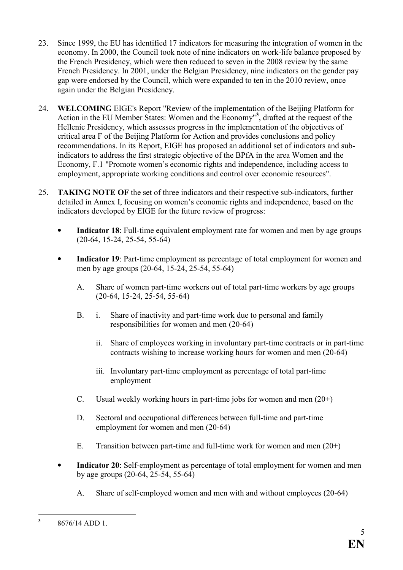- 23. Since 1999, the EU has identified 17 indicators for measuring the integration of women in the economy. In 2000, the Council took note of nine indicators on work-life balance proposed by the French Presidency, which were then reduced to seven in the 2008 review by the same French Presidency. In 2001, under the Belgian Presidency, nine indicators on the gender pay gap were endorsed by the Council, which were expanded to ten in the 2010 review, once again under the Belgian Presidency.
- 24. **WELCOMIG** EIGE's Report "Review of the implementation of the Beijing Platform for Action in the EU Member States: Women and the Economy"**<sup>3</sup>** , drafted at the request of the Hellenic Presidency, which assesses progress in the implementation of the objectives of critical area F of the Beijing Platform for Action and provides conclusions and policy recommendations. In its Report, EIGE has proposed an additional set of indicators and subindicators to address the first strategic objective of the BPfA in the area Women and the Economy, F.1 "Promote women's economic rights and independence, including access to employment, appropriate working conditions and control over economic resources".
- 25. **TAKIG OTE OF** the set of three indicators and their respective sub-indicators, further detailed in Annex I, focusing on women's economic rights and independence, based on the indicators developed by EIGE for the future review of progress:
	- **Indicator 18**: Full-time equivalent employment rate for women and men by age groups (20-64, 15-24, 25-54, 55-64)
	- **Indicator 19**: Part-time employment as percentage of total employment for women and men by age groups (20-64, 15-24, 25-54, 55-64)
		- A. Share of women part-time workers out of total part-time workers by age groups (20-64, 15-24, 25-54, 55-64)
		- B. i. Share of inactivity and part-time work due to personal and family responsibilities for women and men (20-64)
			- ii. Share of employees working in involuntary part-time contracts or in part-time contracts wishing to increase working hours for women and men (20-64)
			- iii. Involuntary part-time employment as percentage of total part-time employment
		- C. Usual weekly working hours in part-time jobs for women and men  $(20+)$
		- D. Sectoral and occupational differences between full-time and part-time employment for women and men (20-64)
		- E. Transition between part-time and full-time work for women and men (20+)
	- **Indicator 20**: Self-employment as percentage of total employment for women and men by age groups (20-64, 25-54, 55-64)
		- A. Share of self-employed women and men with and without employees (20-64)

 **3** 8676/14 ADD 1.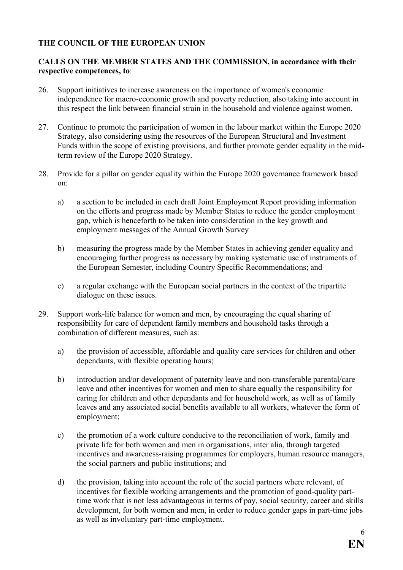### **THE COUNCIL OF THE EUROPEAN UNION**

#### CALLS ON THE MEMBER STATES AND THE COMMISSION, in accordance with their **respective competences, to**:

- 26. Support initiatives to increase awareness on the importance of women's economic independence for macro-economic growth and poverty reduction, also taking into account in this respect the link between financial strain in the household and violence against women.
- 27. Continue to promote the participation of women in the labour market within the Europe 2020 Strategy, also considering using the resources of the European Structural and Investment Funds within the scope of existing provisions, and further promote gender equality in the midterm review of the Europe 2020 Strategy.
- 28. Provide for a pillar on gender equality within the Europe 2020 governance framework based on:
	- a) a section to be included in each draft Joint Employment Report providing information on the efforts and progress made by Member States to reduce the gender employment gap, which is henceforth to be taken into consideration in the key growth and employment messages of the Annual Growth Survey
	- b) measuring the progress made by the Member States in achieving gender equality and encouraging further progress as necessary by making systematic use of instruments of the European Semester, including Country Specific Recommendations; and
	- c) a regular exchange with the European social partners in the context of the tripartite dialogue on these issues.
- 29. Support work-life balance for women and men, by encouraging the equal sharing of responsibility for care of dependent family members and household tasks through a combination of different measures, such as:
	- a) the provision of accessible, affordable and quality care services for children and other dependants, with flexible operating hours;
	- b) introduction and/or development of paternity leave and non-transferable parental/care leave and other incentives for women and men to share equally the responsibility for caring for children and other dependants and for household work, as well as of family leaves and any associated social benefits available to all workers, whatever the form of employment;
	- c) the promotion of a work culture conducive to the reconciliation of work, family and private life for both women and men in organisations, inter alia, through targeted incentives and awareness-raising programmes for employers, human resource managers, the social partners and public institutions; and
	- d) the provision, taking into account the role of the social partners where relevant, of incentives for flexible working arrangements and the promotion of good-quality parttime work that is not less advantageous in terms of pay, social security, career and skills development, for both women and men, in order to reduce gender gaps in part-time jobs as well as involuntary part-time employment.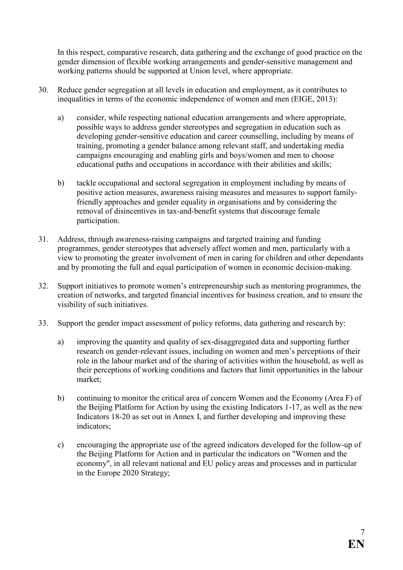In this respect, comparative research, data gathering and the exchange of good practice on the gender dimension of flexible working arrangements and gender-sensitive management and working patterns should be supported at Union level, where appropriate.

- 30. Reduce gender segregation at all levels in education and employment, as it contributes to inequalities in terms of the economic independence of women and men (EIGE, 2013):
	- a) consider, while respecting national education arrangements and where appropriate, possible ways to address gender stereotypes and segregation in education such as developing gender-sensitive education and career counselling, including by means of training, promoting a gender balance among relevant staff, and undertaking media campaigns encouraging and enabling girls and boys/women and men to choose educational paths and occupations in accordance with their abilities and skills;
	- b) tackle occupational and sectoral segregation in employment including by means of positive action measures, awareness raising measures and measures to support familyfriendly approaches and gender equality in organisations and by considering the removal of disincentives in tax-and-benefit systems that discourage female participation.
- 31. Address, through awareness-raising campaigns and targeted training and funding programmes, gender stereotypes that adversely affect women and men, particularly with a view to promoting the greater involvement of men in caring for children and other dependants and by promoting the full and equal participation of women in economic decision-making.
- 32. Support initiatives to promote women's entrepreneurship such as mentoring programmes, the creation of networks, and targeted financial incentives for business creation, and to ensure the visibility of such initiatives.
- 33. Support the gender impact assessment of policy reforms, data gathering and research by:
	- a) improving the quantity and quality of sex-disaggregated data and supporting further research on gender-relevant issues, including on women and men's perceptions of their role in the labour market and of the sharing of activities within the household, as well as their perceptions of working conditions and factors that limit opportunities in the labour market;
	- b) continuing to monitor the critical area of concern Women and the Economy (Area F) of the Beijing Platform for Action by using the existing Indicators 1-17, as well as the new Indicators 18-20 as set out in Annex I, and further developing and improving these indicators;
	- c) encouraging the appropriate use of the agreed indicators developed for the follow-up of the Beijing Platform for Action and in particular the indicators on "Women and the economy", in all relevant national and EU policy areas and processes and in particular in the Europe 2020 Strategy;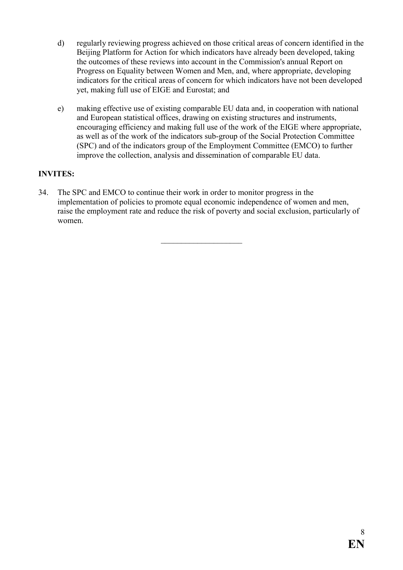- d) regularly reviewing progress achieved on those critical areas of concern identified in the Beijing Platform for Action for which indicators have already been developed, taking the outcomes of these reviews into account in the Commission's annual Report on Progress on Equality between Women and Men, and, where appropriate, developing indicators for the critical areas of concern for which indicators have not been developed yet, making full use of EIGE and Eurostat; and
- e) making effective use of existing comparable EU data and, in cooperation with national and European statistical offices, drawing on existing structures and instruments, encouraging efficiency and making full use of the work of the EIGE where appropriate, as well as of the work of the indicators sub-group of the Social Protection Committee (SPC) and of the indicators group of the Employment Committee (EMCO) to further improve the collection, analysis and dissemination of comparable EU data.

## **INVITES:**

34. The SPC and EMCO to continue their work in order to monitor progress in the implementation of policies to promote equal economic independence of women and men, raise the employment rate and reduce the risk of poverty and social exclusion, particularly of women.

 $\overline{\phantom{a}}$  , and the set of the set of the set of the set of the set of the set of the set of the set of the set of the set of the set of the set of the set of the set of the set of the set of the set of the set of the s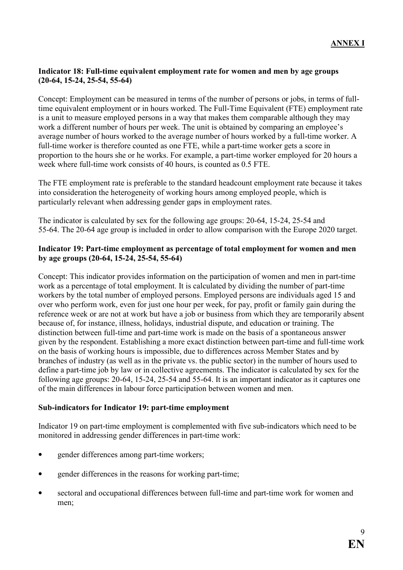#### **Indicator 18: Full-time equivalent employment rate for women and men by age groups (20-64, 15-24, 25-54, 55-64)**

Concept: Employment can be measured in terms of the number of persons or jobs, in terms of fulltime equivalent employment or in hours worked. The Full-Time Equivalent (FTE) employment rate is a unit to measure employed persons in a way that makes them comparable although they may work a different number of hours per week. The unit is obtained by comparing an employee's average number of hours worked to the average number of hours worked by a full-time worker. A full-time worker is therefore counted as one FTE, while a part-time worker gets a score in proportion to the hours she or he works. For example, a part-time worker employed for 20 hours a week where full-time work consists of 40 hours, is counted as 0.5 FTE.

The FTE employment rate is preferable to the standard headcount employment rate because it takes into consideration the heterogeneity of working hours among employed people, which is particularly relevant when addressing gender gaps in employment rates.

The indicator is calculated by sex for the following age groups: 20-64, 15-24, 25-54 and 55-64. The 20-64 age group is included in order to allow comparison with the Europe 2020 target.

#### **Indicator 19: Part-time employment as percentage of total employment for women and men by age groups (20-64, 15-24, 25-54, 55-64)**

Concept: This indicator provides information on the participation of women and men in part-time work as a percentage of total employment. It is calculated by dividing the number of part-time workers by the total number of employed persons. Employed persons are individuals aged 15 and over who perform work, even for just one hour per week, for pay, profit or family gain during the reference week or are not at work but have a job or business from which they are temporarily absent because of, for instance, illness, holidays, industrial dispute, and education or training. The distinction between full-time and part-time work is made on the basis of a spontaneous answer given by the respondent. Establishing a more exact distinction between part-time and full-time work on the basis of working hours is impossible, due to differences across Member States and by branches of industry (as well as in the private vs. the public sector) in the number of hours used to define a part-time job by law or in collective agreements. The indicator is calculated by sex for the following age groups: 20-64, 15-24, 25-54 and 55-64. It is an important indicator as it captures one of the main differences in labour force participation between women and men.

#### **Sub-indicators for Indicator 19: part-time employment**

Indicator 19 on part-time employment is complemented with five sub-indicators which need to be monitored in addressing gender differences in part-time work:

- gender differences among part-time workers;
- gender differences in the reasons for working part-time;
- sectoral and occupational differences between full-time and part-time work for women and men;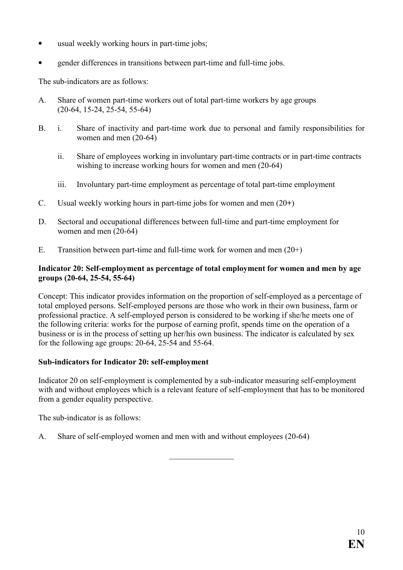- usual weekly working hours in part-time jobs;
- gender differences in transitions between part-time and full-time jobs.

The sub-indicators are as follows:

- A. Share of women part-time workers out of total part-time workers by age groups (20-64, 15-24, 25-54, 55-64)
- B. i. Share of inactivity and part-time work due to personal and family responsibilities for women and men (20-64)
	- ii. Share of employees working in involuntary part-time contracts or in part-time contracts wishing to increase working hours for women and men (20-64)
	- iii. Involuntary part-time employment as percentage of total part-time employment
- C. Usual weekly working hours in part-time jobs for women and men (20**+**)
- D. Sectoral and occupational differences between full-time and part-time employment for women and men (20-64)
- E. Transition between part-time and full-time work for women and men  $(20+)$

#### **Indicator 20: Self-employment as percentage of total employment for women and men by age groups (20-64, 25-54, 55-64)**

Concept: This indicator provides information on the proportion of self-employed as a percentage of total employed persons. Self-employed persons are those who work in their own business, farm or professional practice. A self-employed person is considered to be working if she/he meets one of the following criteria: works for the purpose of earning profit, spends time on the operation of a business or is in the process of setting up her/his own business. The indicator is calculated by sex for the following age groups: 20-64, 25-54 and 55-64.

#### **Sub-indicators for Indicator 20: self-employment**

Indicator 20 on self-employment is complemented by a sub-indicator measuring self-employment with and without employees which is a relevant feature of self-employment that has to be monitored from a gender equality perspective.

 $\frac{1}{2}$  ,  $\frac{1}{2}$  ,  $\frac{1}{2}$  ,  $\frac{1}{2}$  ,  $\frac{1}{2}$  ,  $\frac{1}{2}$  ,  $\frac{1}{2}$ 

The sub-indicator is as follows:

A. Share of self-employed women and men with and without employees (20-64)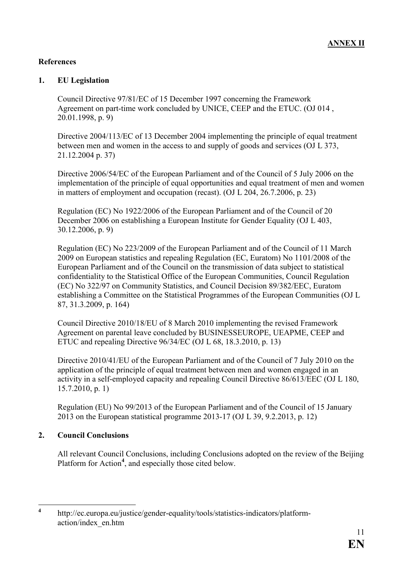#### **References**

#### **1. EU Legislation**

Council Directive 97/81/EC of 15 December 1997 concerning the Framework Agreement on part-time work concluded by UNICE, CEEP and the ETUC. (OJ 014 , 20.01.1998, p. 9)

Directive 2004/113/EC of 13 December 2004 implementing the principle of equal treatment between men and women in the access to and supply of goods and services (OJ L 373, 21.12.2004 p. 37)

Directive 2006/54/EC of the European Parliament and of the Council of 5 July 2006 on the implementation of the principle of equal opportunities and equal treatment of men and women in matters of employment and occupation (recast). (OJ L 204, 26.7.2006, p. 23)

Regulation (EC) No 1922/2006 of the European Parliament and of the Council of 20 December 2006 on establishing a European Institute for Gender Equality (OJ L 403, 30.12.2006, p. 9)

Regulation (EC) No 223/2009 of the European Parliament and of the Council of 11 March 2009 on European statistics and repealing Regulation (EC, Euratom) No 1101/2008 of the European Parliament and of the Council on the transmission of data subject to statistical confidentiality to the Statistical Office of the European Communities, Council Regulation (EC) No 322/97 on Community Statistics, and Council Decision 89/382/EEC, Euratom establishing a Committee on the Statistical Programmes of the European Communities (OJ L 87, 31.3.2009, p. 164)

Council Directive 2010/18/EU of 8 March 2010 implementing the revised Framework Agreement on parental leave concluded by BUSINESSEUROPE, UEAPME, CEEP and ETUC and repealing Directive 96/34/EC (OJ L 68, 18.3.2010, p. 13)

Directive 2010/41/EU of the European Parliament and of the Council of 7 July 2010 on the application of the principle of equal treatment between men and women engaged in an activity in a self-employed capacity and repealing Council Directive 86/613/EEC (OJ L 180, 15.7.2010, p. 1)

Regulation (EU) No 99/2013 of the European Parliament and of the Council of 15 January 2013 on the European statistical programme 2013-17 (OJ L 39, 9.2.2013, p. 12)

#### **2. Council Conclusions**

All relevant Council Conclusions, including Conclusions adopted on the review of the Beijing Platform for Action<sup>4</sup>, and especially those cited below.

 **4** http://ec.europa.eu/justice/gender-equality/tools/statistics-indicators/platformaction/index\_en.htm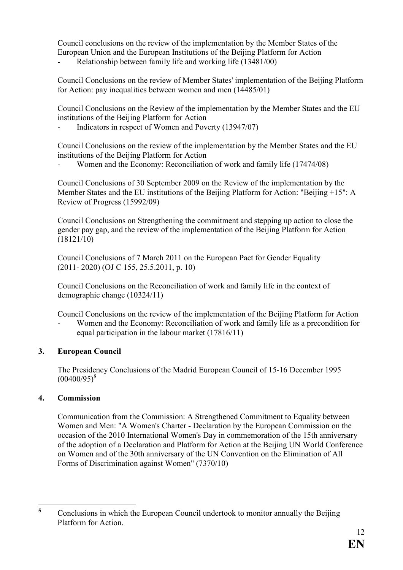Council conclusions on the review of the implementation by the Member States of the European Union and the European Institutions of the Beijing Platform for Action

- Relationship between family life and working life (13481/00)

Council Conclusions on the review of Member States' implementation of the Beijing Platform for Action: pay inequalities between women and men (14485/01)

Council Conclusions on the Review of the implementation by the Member States and the EU institutions of the Beijing Platform for Action

- Indicators in respect of Women and Poverty (13947/07)

Council Conclusions on the review of the implementation by the Member States and the EU institutions of the Beijing Platform for Action

Women and the Economy: Reconciliation of work and family life (17474/08)

Council Conclusions of 30 September 2009 on the Review of the implementation by the Member States and the EU institutions of the Beijing Platform for Action: "Beijing +15": A Review of Progress (15992/09)

Council Conclusions on Strengthening the commitment and stepping up action to close the gender pay gap, and the review of the implementation of the Beijing Platform for Action (18121/10)

Council Conclusions of 7 March 2011 on the European Pact for Gender Equality (2011- 2020) (OJ C 155, 25.5.2011, p. 10)

Council Conclusions on the Reconciliation of work and family life in the context of demographic change (10324/11)

Council Conclusions on the review of the implementation of the Beijing Platform for Action

Women and the Economy: Reconciliation of work and family life as a precondition for equal participation in the labour market (17816/11)

## **3. European Council**

The Presidency Conclusions of the Madrid European Council of 15-16 December 1995 (00400/95)**<sup>5</sup>**

## **4. Commission**

Communication from the Commission: A Strengthened Commitment to Equality between Women and Men: "A Women's Charter - Declaration by the European Commission on the occasion of the 2010 International Women's Day in commemoration of the 15th anniversary of the adoption of a Declaration and Platform for Action at the Beijing UN World Conference on Women and of the 30th anniversary of the UN Convention on the Elimination of All Forms of Discrimination against Women" (7370/10)

 **5** Conclusions in which the European Council undertook to monitor annually the Beijing Platform for Action.